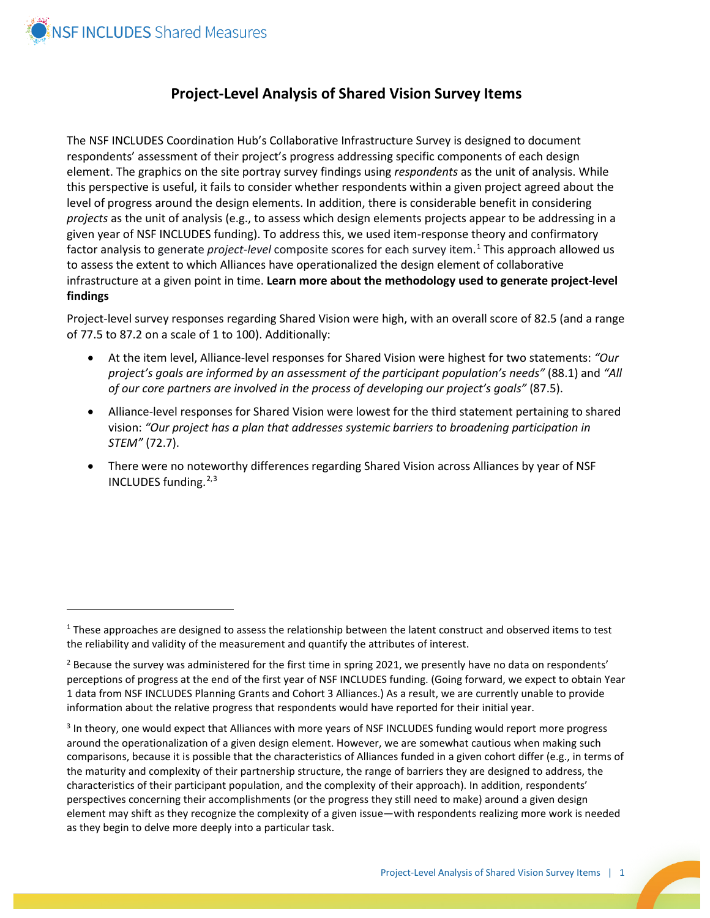

 $\overline{a}$ 

## **Project-Level Analysis of Shared Vision Survey Items**

The NSF INCLUDES Coordination Hub's Collaborative Infrastructure Survey is designed to document respondents' assessment of their project's progress addressing specific components of each design element. The graphics on the site portray survey findings using *respondents* as the unit of analysis. While this perspective is useful, it fails to consider whether respondents within a given project agreed about the level of progress around the design elements. In addition, there is considerable benefit in considering *projects* as the unit of analysis (e.g., to assess which design elements projects appear to be addressing in a given year of NSF INCLUDES funding). To address this, we used item-response theory and confirmatory factor analysis to generate *project-level* composite scores for each survey item. [1](#page-0-0) This approach allowed us to assess the extent to which Alliances have operationalized the design element of collaborative infrastructure at a given point in time. **Learn more about the methodology used to generate project-level findings**

Project-level survey responses regarding Shared Vision were high, with an overall score of 82.5 (and a range of 77.5 to 87.2 on a scale of 1 to 100). Additionally:

- At the item level, Alliance-level responses for Shared Vision were highest for two statements: *"Our project's goals are informed by an assessment of the participant population's needs"* (88.1) and *"All of our core partners are involved in the process of developing our project's goals"* (87.5).
- Alliance-level responses for Shared Vision were lowest for the third statement pertaining to shared vision: *"Our project has a plan that addresses systemic barriers to broadening participation in STEM"* (72.7).
- There were no noteworthy differences regarding Shared Vision across Alliances by year of NSF INCLUDES funding. $2,3$  $2,3$

<span id="page-0-0"></span> $1$  These approaches are designed to assess the relationship between the latent construct and observed items to test the reliability and validity of the measurement and quantify the attributes of interest.

<span id="page-0-1"></span> $<sup>2</sup>$  Because the survey was administered for the first time in spring 2021, we presently have no data on respondents'</sup> perceptions of progress at the end of the first year of NSF INCLUDES funding. (Going forward, we expect to obtain Year 1 data from NSF INCLUDES Planning Grants and Cohort 3 Alliances.) As a result, we are currently unable to provide information about the relative progress that respondents would have reported for their initial year.

<span id="page-0-2"></span><sup>&</sup>lt;sup>3</sup> In theory, one would expect that Alliances with more years of NSF INCLUDES funding would report more progress around the operationalization of a given design element. However, we are somewhat cautious when making such comparisons, because it is possible that the characteristics of Alliances funded in a given cohort differ (e.g., in terms of the maturity and complexity of their partnership structure, the range of barriers they are designed to address, the characteristics of their participant population, and the complexity of their approach). In addition, respondents' perspectives concerning their accomplishments (or the progress they still need to make) around a given design element may shift as they recognize the complexity of a given issue—with respondents realizing more work is needed as they begin to delve more deeply into a particular task.